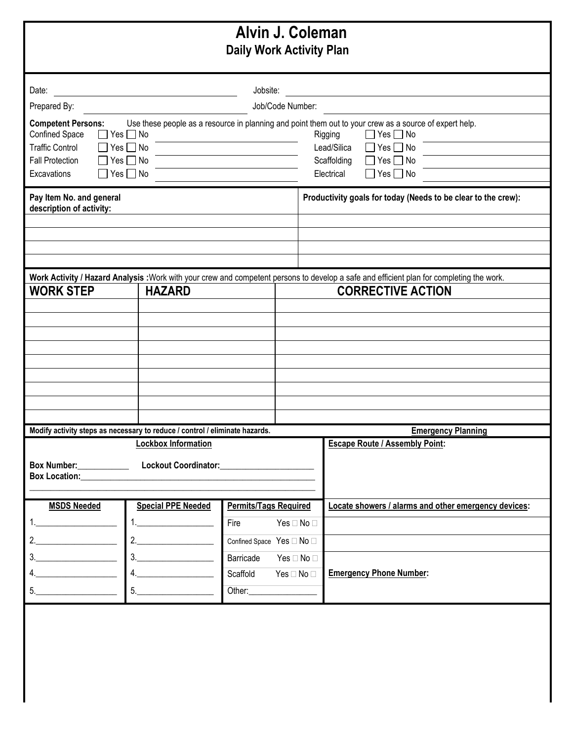| Alvin J. Coleman<br><b>Daily Work Activity Plan</b>                                                                                                                                                                                                                                                             |                                                                                                                                                                                                                                                                                                                                                                                                                                                                                                                                                      |                              |                            |                                                                                                                                                     |  |
|-----------------------------------------------------------------------------------------------------------------------------------------------------------------------------------------------------------------------------------------------------------------------------------------------------------------|------------------------------------------------------------------------------------------------------------------------------------------------------------------------------------------------------------------------------------------------------------------------------------------------------------------------------------------------------------------------------------------------------------------------------------------------------------------------------------------------------------------------------------------------------|------------------------------|----------------------------|-----------------------------------------------------------------------------------------------------------------------------------------------------|--|
| Date:                                                                                                                                                                                                                                                                                                           | Jobsite:                                                                                                                                                                                                                                                                                                                                                                                                                                                                                                                                             |                              |                            |                                                                                                                                                     |  |
| Prepared By:                                                                                                                                                                                                                                                                                                    | Job/Code Number:                                                                                                                                                                                                                                                                                                                                                                                                                                                                                                                                     |                              |                            |                                                                                                                                                     |  |
| <b>Competent Persons:</b><br>Use these people as a resource in planning and point them out to your crew as a source of expert help.<br>Confined Space<br>$\vert$ Yes $\Box$ No<br><b>Traffic Control</b><br>$ $ Yes $\Box$ No<br><b>Fall Protection</b><br>$Yes \Box No$<br>Excavations<br>$\Box$ Yes $\Box$ No |                                                                                                                                                                                                                                                                                                                                                                                                                                                                                                                                                      |                              |                            | $\Box$ Yes $\Box$ No<br>Rigging<br>Lead/Silica<br>$\Box$ Yes $\Box$ No<br>$\Box$ Yes $\Box$ No<br>Scaffolding<br>Electrical<br>$\Box$ Yes $\Box$ No |  |
| Pay Item No. and general<br>description of activity:                                                                                                                                                                                                                                                            |                                                                                                                                                                                                                                                                                                                                                                                                                                                                                                                                                      |                              |                            | Productivity goals for today (Needs to be clear to the crew):                                                                                       |  |
|                                                                                                                                                                                                                                                                                                                 |                                                                                                                                                                                                                                                                                                                                                                                                                                                                                                                                                      |                              |                            |                                                                                                                                                     |  |
| Work Activity / Hazard Analysis : Work with your crew and competent persons to develop a safe and efficient plan for completing the work.                                                                                                                                                                       |                                                                                                                                                                                                                                                                                                                                                                                                                                                                                                                                                      |                              |                            |                                                                                                                                                     |  |
| <b>WORK STEP</b><br><b>HAZARD</b>                                                                                                                                                                                                                                                                               |                                                                                                                                                                                                                                                                                                                                                                                                                                                                                                                                                      |                              |                            | <b>CORRECTIVE ACTION</b>                                                                                                                            |  |
|                                                                                                                                                                                                                                                                                                                 |                                                                                                                                                                                                                                                                                                                                                                                                                                                                                                                                                      |                              |                            |                                                                                                                                                     |  |
|                                                                                                                                                                                                                                                                                                                 |                                                                                                                                                                                                                                                                                                                                                                                                                                                                                                                                                      |                              |                            |                                                                                                                                                     |  |
|                                                                                                                                                                                                                                                                                                                 |                                                                                                                                                                                                                                                                                                                                                                                                                                                                                                                                                      |                              |                            |                                                                                                                                                     |  |
|                                                                                                                                                                                                                                                                                                                 |                                                                                                                                                                                                                                                                                                                                                                                                                                                                                                                                                      |                              |                            |                                                                                                                                                     |  |
|                                                                                                                                                                                                                                                                                                                 |                                                                                                                                                                                                                                                                                                                                                                                                                                                                                                                                                      |                              |                            |                                                                                                                                                     |  |
|                                                                                                                                                                                                                                                                                                                 |                                                                                                                                                                                                                                                                                                                                                                                                                                                                                                                                                      |                              |                            |                                                                                                                                                     |  |
|                                                                                                                                                                                                                                                                                                                 |                                                                                                                                                                                                                                                                                                                                                                                                                                                                                                                                                      |                              |                            |                                                                                                                                                     |  |
| Modify activity steps as necessary to reduce / control / eliminate hazards.<br><b>Emergency Planning</b>                                                                                                                                                                                                        |                                                                                                                                                                                                                                                                                                                                                                                                                                                                                                                                                      |                              |                            |                                                                                                                                                     |  |
| <b>Lockbox Information</b>                                                                                                                                                                                                                                                                                      |                                                                                                                                                                                                                                                                                                                                                                                                                                                                                                                                                      |                              |                            | <b>Escape Route / Assembly Point:</b>                                                                                                               |  |
| Box Number:                                                                                                                                                                                                                                                                                                     |                                                                                                                                                                                                                                                                                                                                                                                                                                                                                                                                                      |                              |                            |                                                                                                                                                     |  |
| <b>MSDS Needed</b>                                                                                                                                                                                                                                                                                              | <b>Special PPE Needed</b>                                                                                                                                                                                                                                                                                                                                                                                                                                                                                                                            | <b>Permits/Tags Required</b> |                            | Locate showers / alarms and other emergency devices:                                                                                                |  |
|                                                                                                                                                                                                                                                                                                                 | $1. \underline{\hspace{2.0cm}1. \underline{\hspace{2.0cm}1. \underline{\hspace{2.0cm}1. \underline{\hspace{2.0cm}1. \underline{\hspace{2.0cm}1. \underline{\hspace{2.0cm}1. \underline{\hspace{2.0cm}1. \underline{\hspace{2.0cm}1. \underline{\hspace{2.0cm}1. \underline{\hspace{2.0cm}1. \underline{\hspace{2.0cm}1. \underline{\hspace{2.0cm}1. \underline{\hspace{2.0cm}1. \underline{\hspace{2.0cm}1. \underline{\hspace{2.0cm}1. \underline{\hspace{2.0cm}1. \underline{\hspace{2.0cm$                                                        | Fire                         | Yes $\Box$ No $\Box$       |                                                                                                                                                     |  |
| $2. \underline{\hspace{2.0cm}}$                                                                                                                                                                                                                                                                                 | $2. \underline{\hspace{2.0cm}}$                                                                                                                                                                                                                                                                                                                                                                                                                                                                                                                      | Confined Space Yes □ No □    |                            |                                                                                                                                                     |  |
|                                                                                                                                                                                                                                                                                                                 | $\begin{array}{c} 3. \qquad \qquad \text{---} \qquad \qquad \text{---} \qquad \qquad \text{---} \qquad \text{---} \qquad \text{---} \qquad \text{---} \qquad \text{---} \qquad \text{---} \qquad \text{---} \qquad \text{---} \qquad \text{---} \qquad \text{---} \qquad \text{---} \qquad \text{---} \qquad \text{---} \qquad \text{---} \qquad \text{---} \qquad \text{---} \qquad \text{---} \qquad \text{---} \qquad \text{---} \qquad \text{---} \qquad \text{---} \qquad \text{---} \qquad \text{---} \$                                       | Barricade                    | Yes $\Box$ No $\Box$       |                                                                                                                                                     |  |
| 4.                                                                                                                                                                                                                                                                                                              | $\begin{array}{c} \n4. \quad \text{---} \quad \text{---} \quad \text{---} \quad \text{---} \quad \text{---} \quad \text{---} \quad \text{---} \quad \text{---} \quad \text{---} \quad \text{---} \quad \text{---} \quad \text{---} \quad \text{---} \quad \text{---} \quad \text{---} \quad \text{---} \quad \text{---} \quad \text{---} \quad \text{---} \quad \text{---} \quad \text{---} \quad \text{---} \quad \text{---} \quad \text{---} \quad \text{---} \quad \text{---} \quad \text{---} \quad \text{---} \quad \text{---} \quad \text{---$ | Scaffold                     | Yes $\square$ No $\square$ | <b>Emergency Phone Number:</b>                                                                                                                      |  |
| $\begin{array}{c c c c} \hline \texttt{5.} & \texttt{} & \texttt{} & \texttt{} \end{array}$                                                                                                                                                                                                                     | $\begin{tabular}{c} 5. & \hspace{1.5cm} \rule{2.2cm}{0.1cm} \rule{2.2cm}{0.1cm} \rule{2.2cm}{0.1cm} \rule{2.2cm}{0.1cm} \rule{2.2cm}{0.1cm} \rule{2.2cm}{0.1cm} \rule{2.2cm}{0.1cm} \rule{2.2cm}{0.1cm} \rule{2.2cm}{0.1cm} \rule{2.2cm}{0.1cm} \rule{2.2cm}{0.1cm} \rule{2.2cm}{0.1cm} \rule{2.2cm}{0.1cm} \rule{2.2cm}{0.1cm} \rule{2.2cm}{0.1cm} \rule{2$                                                                                                                                                                                         |                              |                            |                                                                                                                                                     |  |
|                                                                                                                                                                                                                                                                                                                 |                                                                                                                                                                                                                                                                                                                                                                                                                                                                                                                                                      |                              |                            |                                                                                                                                                     |  |